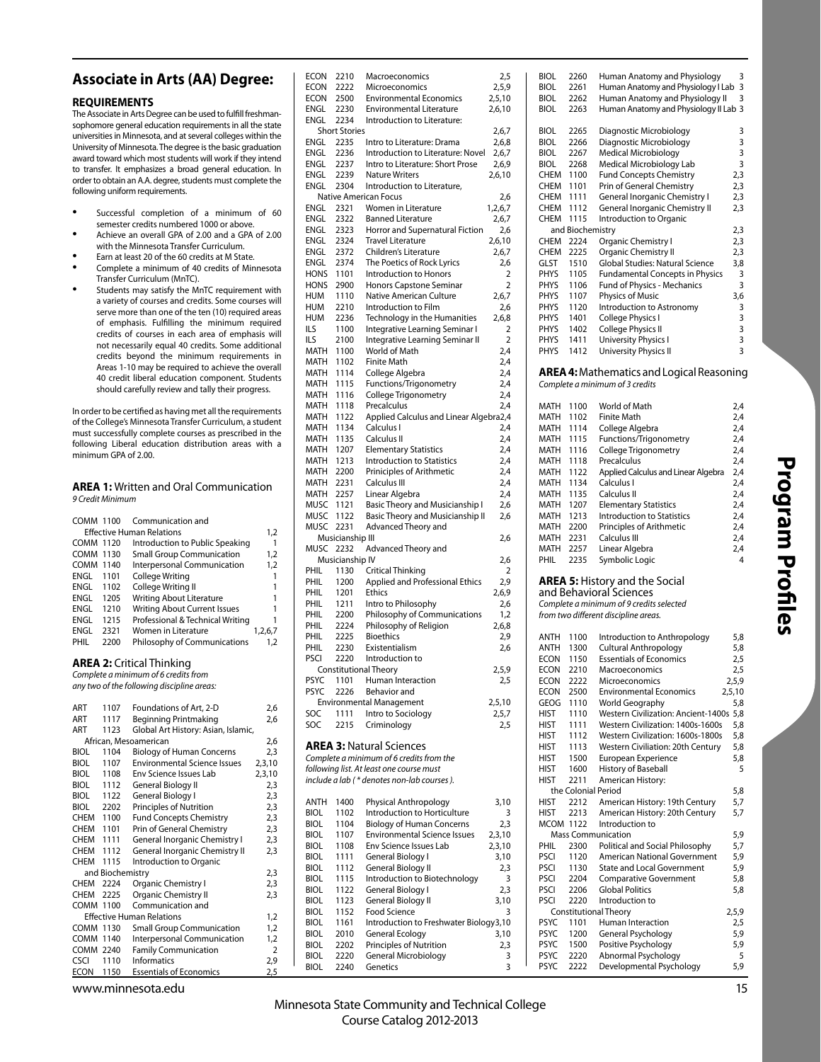# **Associate in Arts (AA) Degree:**

### **REQUIREMENTS**

The Associate in Arts Degree can be used to fulfill freshmansophomore general education requirements in all the state universities in Minnesota, and at several colleges within the University of Minnesota. The degree is the basic graduation award toward which most students will work if they intend to transfer. It emphasizes a broad general education. In order to obtain an A.A. degree, students must complete the following uniform requirements.

- Successful completion of a minimum of 60 semester credits numbered 1000 or above.
- Achieve an overall GPA of 2.00 and a GPA of 2.00 with the Minnesota Transfer Curriculum.
- Earn at least 20 of the 60 credits at M State.
- Complete a minimum of 40 credits of Minnesota Transfer Curriculum (MnTC).
- Students may satisfy the MnTC requirement with a variety of courses and credits. Some courses will serve more than one of the ten (10) required areas of emphasis. Fulfilling the minimum required credits of courses in each area of emphasis will not necessarily equal 40 credits. Some additional credits beyond the minimum requirements in Areas 1-10 may be required to achieve the overall 40 credit liberal education component. Students should carefully review and tally their progress.

In order to be certified as having met all the requirements of the College's Minnesota Transfer Curriculum, a student must successfully complete courses as prescribed in the following Liberal education distribution areas with a minimum GPA of 2.00.

#### **AREA 1:** Written and Oral Communication 9 Credit Minimum

| COMM 1100        |      | Communication and                   |         |
|------------------|------|-------------------------------------|---------|
|                  |      | <b>Effective Human Relations</b>    | 1,2     |
| <b>COMM 1120</b> |      | Introduction to Public Speaking     |         |
| <b>COMM 1130</b> |      | <b>Small Group Communication</b>    | 1,2     |
| <b>COMM</b>      | 1140 | Interpersonal Communication         | 1,2     |
| ENGL             | 1101 | College Writing                     |         |
| ENGL             | 1102 | College Writing II                  |         |
| ENGL             | 1205 | Writing About Literature            |         |
| ENGL             | 1210 | <b>Writing About Current Issues</b> |         |
| ENGL             | 1215 | Professional & Technical Writing    |         |
| ENGL             | 2321 | Women in Literature                 | 1.2.6.7 |
| PHIL             | 2200 | Philosophy of Communications        | 1.2     |

## **AREA 2:** Critical Thinking

Complete a minimum of 6 credits from any two of the following discipline areas:

| <b>ART</b>  | 1107             | Foundations of Art, 2-D             | 2,6            |
|-------------|------------------|-------------------------------------|----------------|
| <b>ART</b>  | 1117             | Beginning Printmaking               | 2,6            |
| <b>ART</b>  | 1123             | Global Art History: Asian, Islamic, |                |
|             |                  | African, Mesoamerican               | 2,6            |
| BIOL        | 1104             | <b>Biology of Human Concerns</b>    | 2,3            |
| <b>BIOL</b> | 1107             | <b>Environmental Science Issues</b> | 2,3,10         |
| <b>BIOL</b> | 1108             | Env Science Issues Lab              | 2,3,10         |
| <b>BIOL</b> | 1112             | General Biology II                  | 2,3            |
| BIOL        | 1122             | General Biology I                   | 2,3            |
| <b>BIOL</b> | 2202             | <b>Principles of Nutrition</b>      | 2,3            |
| <b>CHEM</b> | 1100             | <b>Fund Concepts Chemistry</b>      | 2,3            |
| <b>CHEM</b> | 1101             | Prin of General Chemistry           | 2,3            |
| <b>CHEM</b> | 1111             | General Inorganic Chemistry I       | 2,3            |
| <b>CHEM</b> | 1112             | General Inorganic Chemistry II      | 2,3            |
| <b>CHEM</b> | 1115             | Introduction to Organic             |                |
|             | and Biochemistry |                                     | 2,3            |
| <b>CHEM</b> | 2224             | Organic Chemistry I                 | 2,3            |
| <b>CHEM</b> | 2225             | Organic Chemistry II                | 2,3            |
| <b>COMM</b> | 1100             | Communication and                   |                |
|             |                  | <b>Effective Human Relations</b>    | 1,2            |
| COMM 1130   |                  | <b>Small Group Communication</b>    | 1,2            |
| <b>COMM</b> | 1140             | Interpersonal Communication         | 1,2            |
| <b>COMM</b> | 2240             | <b>Family Communication</b>         | $\overline{2}$ |
| <b>CSCI</b> | 1110             | <b>Informatics</b>                  | 2,9            |
| <b>ECON</b> | 1150             | <b>Essentials of Economics</b>      | <u>2,5</u>     |
|             |                  |                                     |                |

| ECON                | 2210                 | Macroeconomics                                                          | 2,5              |
|---------------------|----------------------|-------------------------------------------------------------------------|------------------|
| ECON<br>ECON        | 2222<br>2500         | Microeconomics<br><b>Environmental Economics</b>                        | 2,5,9            |
| ENGL                | 2230                 | <b>Environmental Literature</b>                                         | 2,5,10<br>2,6,10 |
| ENGL                | 2234                 | Introduction to Literature:                                             |                  |
|                     | <b>Short Stories</b> |                                                                         | 2,6,7            |
| ENGL                | 2235                 | Intro to Literature: Drama                                              | 2,6,8            |
| ENGL                | 2236                 | Introduction to Literature: Novel                                       | 2,6,7            |
| ENGL                | 2237                 | Intro to Literature: Short Prose                                        | 2,6,9            |
| ENGL                | 2239                 | <b>Nature Writers</b>                                                   | 2,6,10           |
| ENGL                | 2304                 | Introduction to Literature,                                             |                  |
|                     |                      | Native American Focus                                                   | 2,6              |
| <b>ENGL</b>         | 2321<br>2322         | Women in Literature<br><b>Banned Literature</b>                         | 1,2,6,7          |
| ENGL<br><b>ENGL</b> | 2323                 | Horror and Supernatural Fiction                                         | 2,6,7<br>2,6     |
| ENGL                | 2324                 | <b>Travel Literature</b>                                                | 2,6,10           |
| ENGL                | 2372                 | Children's Literature                                                   | 2,6,7            |
| <b>ENGL</b>         | 2374                 | The Poetics of Rock Lyrics                                              | 2,6              |
| HONS                | 1101                 | Introduction to Honors                                                  | 2                |
| HONS                | 2900                 | Honors Capstone Seminar                                                 | $\overline{2}$   |
| HUM                 | 1110                 | Native American Culture                                                 | 2,6,7            |
| HUM                 | 2210                 | Introduction to Film                                                    | 2,6              |
| HUM                 | 2236                 | Technology in the Humanities                                            | 2,6,8            |
| ILS                 | 1100                 | Integrative Learning Seminar I                                          | 2                |
| ILS                 | 2100                 | Integrative Learning Seminar II                                         | 2                |
| MATH                | 1100                 | World of Math                                                           | 2,4              |
| MATH                | 1102                 | <b>Finite Math</b>                                                      | 2,4              |
| MATH                | 1114                 | College Algebra                                                         | 2,4              |
| MATH                | 1115                 | Functions/Trigonometry                                                  | 2,4              |
| MATH<br><b>MATH</b> | 1116                 | College Trigonometry                                                    | 2,4              |
| <b>MATH</b>         | 1118<br>1122         | Precalculus                                                             | 2,4              |
| MATH                | 1134                 | Applied Calculus and Linear Algebra2,4<br>Calculus I                    | 2,4              |
| MATH                | 1135                 | Calculus II                                                             | 2,4              |
| <b>MATH</b>         | 1207                 | <b>Elementary Statistics</b>                                            | 2,4              |
| MATH                | 1213                 | <b>Introduction to Statistics</b>                                       | 2,4              |
| MATH                | 2200                 | Priniciples of Arithmetic                                               | 2,4              |
| MATH                | 2231                 | Calculus III                                                            | 2,4              |
| MATH                | 2257                 | Linear Algebra                                                          | 2,4              |
| MUSC                | 1121                 | Basic Theory and Musicianship I                                         | 2,6              |
|                     |                      | Basic Theory and Musicianship II                                        |                  |
| MUSC                | 1122                 |                                                                         | 2,6              |
| MUSC                | 2231                 | Advanced Theory and                                                     |                  |
|                     | Musicianship III     |                                                                         | 2,6              |
| MUSC                | 2232                 | Advanced Theory and                                                     |                  |
|                     | Musicianship IV      |                                                                         | 2,6              |
| PHIL                | 1130                 | Critical Thinking                                                       | 2                |
| PHIL                | 1200                 | <b>Applied and Professional Ethics</b>                                  | 2,9              |
| PHIL                | 1201                 | <b>Ethics</b>                                                           | 2,6,9            |
| PHIL                | 1211                 | Intro to Philosophy                                                     | 2,6              |
| PHIL                | 2200                 | Philosophy of Communications                                            | 1,2              |
| PHIL<br>PHIL        | 2224<br>2225         | Philosophy of Religion                                                  | 2,6,8            |
| PHIL                | 2230                 | <b>Bioethics</b><br>Existentialism                                      | 2,9              |
| <b>PSCI</b>         | 2220                 | Introduction to                                                         | 2,6              |
|                     |                      | <b>Constitutional Theory</b>                                            | 2,5,9            |
| PSYC                | 1101                 | Human Interaction                                                       | 2,5              |
| PSYC                | 2226                 | Behavior and                                                            |                  |
|                     |                      | <b>Environmental Management</b>                                         | 2,5,10           |
| SOC                 | 1111                 | Intro to Sociology                                                      | 2,5,7            |
| SOC                 | 2215                 | Criminology                                                             | 2,5              |
|                     |                      |                                                                         |                  |
|                     |                      | <b>AREA 3: Natural Sciences</b>                                         |                  |
|                     |                      | Complete a minimum of 6 credits from the                                |                  |
|                     |                      | following list. At least one course must                                |                  |
|                     |                      | include a lab (* denotes non-lab courses).                              |                  |
|                     |                      |                                                                         |                  |
| ANTH                | 1400                 | <b>Physical Anthropology</b>                                            | 3,10             |
| BIOL<br><b>BIOL</b> | 1102<br>1104         | Introduction to Horticulture                                            | 3                |
| <b>BIOL</b>         | 1107                 | <b>Biology of Human Concerns</b><br><b>Environmental Science Issues</b> | 2,3<br>2,3,10    |
| <b>BIOL</b>         | 1108                 | Env Science Issues Lab                                                  | 2,3,10           |
| BIOL                | 1111                 | General Biology I                                                       | 3,10             |
| BIOL                | 1112                 | General Biology II                                                      | 2,3              |
| BIOL                | 1115                 | Introduction to Biotechnology                                           | 3                |
| BIOL                | 1122                 | General Biology I                                                       | 2,3              |
| BIOL                | 1123                 | General Biology II                                                      | 3,10             |
| BIOL                | 1152                 | Food Science                                                            | 3                |
| BIOL                | 1161                 | Introduction to Freshwater Biology3,10                                  |                  |
| BIOL                | 2010                 | General Ecology                                                         | 3,10             |
| BIOL                | 2202                 | Principles of Nutrition                                                 | 2,3              |
| BIOL<br><b>BIOL</b> | 2220<br>2240         | General Microbiology<br>Genetics                                        | 3<br>3           |

| BIOL        | 2260             | Human Anatomy and Physiology                     | 3                       |
|-------------|------------------|--------------------------------------------------|-------------------------|
| <b>BIOL</b> | 2261             | Human Anatomy and Physiology I Lab               | 3                       |
| <b>BIOL</b> | 2262             | Human Anatomy and Physiology II                  | 3                       |
| <b>BIOL</b> | 2263             | Human Anatomy and Physiology II Lab 3            |                         |
|             |                  |                                                  |                         |
| BIOL        | 2265             | Diagnostic Microbiology                          | 3                       |
| <b>BIOL</b> | 2266             | Diagnostic Microbiology                          | 3                       |
| <b>BIOL</b> | 2267             | <b>Medical Microbiology</b>                      | 3                       |
| <b>BIOL</b> | 2268             | Medical Microbiology Lab                         | $\overline{3}$          |
| <b>CHEM</b> | 1100             | <b>Fund Concepts Chemistry</b>                   | 2,3                     |
| <b>CHEM</b> | 1101             | Prin of General Chemistry                        | 2,3                     |
| <b>CHEM</b> | 1111             | <b>General Inorganic Chemistry I</b>             | 2,3                     |
| <b>CHEM</b> | 1112             | <b>General Inorganic Chemistry II</b>            | 2,3                     |
| <b>CHEM</b> | 1115             | Introduction to Organic                          |                         |
|             | and Biochemistry |                                                  | 2,3                     |
| <b>CHEM</b> | 2224             | Organic Chemistry I                              | 2,3                     |
| <b>CHEM</b> | 2225             | Organic Chemistry II                             | 2,3                     |
| <b>GLST</b> | 1510             | Global Studies: Natural Science                  | 3,8                     |
| <b>PHYS</b> | 1105             | <b>Fundamental Concepts in Physics</b>           | 3                       |
| <b>PHYS</b> | 1106             | Fund of Physics - Mechanics                      | 3                       |
| <b>PHYS</b> | 1107             | Physics of Music                                 | 3,6                     |
| <b>PHYS</b> | 1120             | Introduction to Astronomy                        | 3                       |
| <b>PHYS</b> | 1401             | <b>College Physics I</b>                         | 3                       |
| <b>PHYS</b> | 1402             | <b>College Physics II</b>                        | 3                       |
| <b>PHYS</b> | 1411             | University Physics I                             | 3                       |
| <b>PHYS</b> | 1412             | University Physics II                            | $\overline{\mathbf{3}}$ |
|             |                  |                                                  |                         |
|             |                  | <b>AREA 4:</b> Mathematics and Logical Reasoning |                         |
|             |                  | Complete a minimum of 3 credits                  |                         |
| MATH        | 1100             | World of Math                                    | 2.4                     |
| <b>MATH</b> | 1102             | <b>Finite Math</b>                               | 2,4                     |
| <b>MATH</b> | 1114             | College Algebra                                  | 2,4                     |
| <b>MATH</b> | 1115             | Functions/Trigonometry                           | 2,4                     |
|             |                  |                                                  |                         |

| MATH | 1102 | <b>Finite Math</b>                  | 2,4 |
|------|------|-------------------------------------|-----|
| MATH | 1114 | College Algebra                     | 2,4 |
| MATH | 1115 | Functions/Trigonometry              | 2,4 |
| MATH | 1116 | College Trigonometry                | 2,4 |
| MATH | 1118 | Precalculus                         | 2,4 |
| MATH | 1122 | Applied Calculus and Linear Algebra | 2,4 |
| MATH | 1134 | Calculus I                          | 2,4 |
| MATH | 1135 | Calculus II                         | 2,4 |
| MATH | 1207 | <b>Elementary Statistics</b>        | 2,4 |
| MATH | 1213 | Introduction to Statistics          | 2,4 |
| MATH | 2200 | Principles of Arithmetic            | 2,4 |
| MATH | 2231 | Calculus III                        | 2,4 |
| MATH | 2257 | Linear Algebra                      | 2,4 |
| PHIL | 2235 | Symbolic Logic                      | 4   |
|      |      |                                     |     |

# **AREA 5:** History and the Social and Behavioral Sciences

Complete a minimum of 9 credits selected from two different discipline areas.

| <b>ANTH</b>      | 1100                | Introduction to Anthropology        | 5,8    |
|------------------|---------------------|-------------------------------------|--------|
| <b>ANTH</b>      | 1300                | <b>Cultural Anthropology</b>        | 5,8    |
| <b>ECON</b>      | 1150                | <b>Essentials of Economics</b>      | 2,5    |
| <b>ECON</b>      | 2210                | Macroeconomics                      | 2,5    |
| <b>ECON</b>      | 2222                | Microeconomics                      | 2,5,9  |
| <b>ECON</b>      | 2500                | <b>Environmental Economics</b>      | 2,5,10 |
| <b>GEOG</b>      | 1110                | World Geography                     | 5,8    |
| <b>HIST</b>      | 1110                | Western Civilization: Ancient-1400s | 5,8    |
| <b>HIST</b>      | 1111                | Western Civilization: 1400s-1600s   | 5,8    |
| <b>HIST</b>      | 1112                | Western Civilization: 1600s-1800s   | 5,8    |
| <b>HIST</b>      | 1113                | Western Civiliation: 20th Century   | 5,8    |
| <b>HIST</b>      | 1500                | European Experience                 | 5,8    |
| <b>HIST</b>      | 1600                | History of Baseball                 | 5      |
| <b>HIST</b>      | 2211                | American History:                   |        |
|                  | the Colonial Period |                                     | 5,8    |
| <b>HIST</b>      | 2212                | American History: 19th Century      | 5,7    |
| <b>HIST</b>      | 2213                | American History: 20th Century      | 5,7    |
| <b>MCOM 1122</b> |                     | Introduction to                     |        |
|                  |                     | <b>Mass Communication</b>           | 5,9    |
| PHIL             | 2300                | Political and Social Philosophy     | 5,7    |
| <b>PSCI</b>      | 1120                | <b>American National Government</b> | 5,9    |
| PSCI             | 1130                | <b>State and Local Government</b>   | 5,9    |
| <b>PSCI</b>      | 2204                | <b>Comparative Government</b>       | 5,8    |
| <b>PSCI</b>      | 2206                | <b>Global Politics</b>              | 5,8    |
| <b>PSCI</b>      | 2220                | Introduction to                     |        |
|                  |                     | <b>Constitutional Theory</b>        | 2,5,9  |
| <b>PSYC</b>      | 1101                | <b>Human Interaction</b>            | 2,5    |
| <b>PSYC</b>      | 1200                | General Psychology                  | 5,9    |
| <b>PSYC</b>      | 1500                | Positive Psychology                 | 5,9    |
| <b>PSYC</b>      | 2220                | Abnormal Psychology                 | 5      |
| <b>PSYC</b>      | 2222                | Developmental Psychology            | 5,9    |

www.minnesota.edu 15